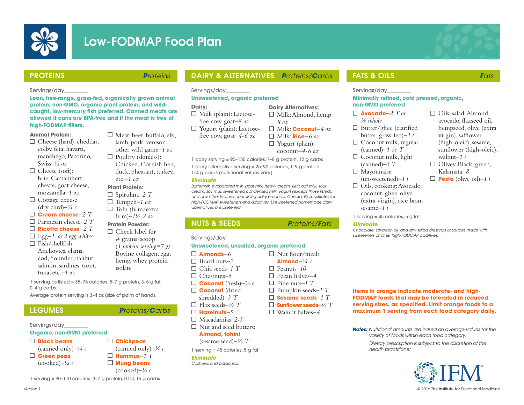

# Low-FODMAP Food Plan



Oils, salad: Almond, avocado, flaxseed oil, hempseed, olive (extra virgin), safflower (high-oleic), sesame, sunflower (high-oleic),

walnut*–1 t*   $\Box$  Olives: Black, green, Kalamata*–8*   $\Box$  **Pesto** (olive oil)–1 t

# PROTEINS *Proteins*

 $\Box$  Meat: beef, buffalo, elk, lamb, pork, venison, other wild game*–1 oz*   $\Box$  Poultry (skinless): Chicken, Cornish hen, duck, pheasant, turkey,

etc.*–1 oz* **Plant Protein:** Spirulina*–2 T* Tempeh*–1 oz*  $\Box$  Tofu (firm/extra firm)*–1½-2 oz* **Protein Powder:**  $\Box$  Check label for # grams/scoop (*1 protein serving=7 g)* Bovine collagen, egg, hemp, whey protein

isolate

#### Servings/day\_\_\_\_\_\_\_\_\_

**Lean, free-range, grass-fed, organically grown animal protein; non-GMO, organic plant protein; and wildcaught, low-mercury fish preferred. Canned meats are allowed if cans are BPA-free and if the meat is free of high-FODMAP fillers.**

#### **Animal Protein:**

- $\Box$  Cheese (hard): cheddar, colby, feta, havarti, manchego, Pecorino, Swiss*–½ oz*
- $\Box$  Cheese (soft): brie, Camambert, chevre, goat cheese, mozzarella*–1 oz*
- $\Box$  Cottage cheese (dry curd) $-\frac{1}{4}c$
- **Cream cheese***–2 T*
- Parmesan cheese*–2 T*
- **Ricotta cheese***–2 T*
- Egg–*1, or 2 egg whites*
- $\Box$  Fish/shellfish: Anchovies, clams, cod, flounder, halibut, salmon, sardines, trout,
	- tuna, etc.*–1 oz*

1 serving as listed = 35–75 calories, 5–7 g protein, 3–5 g fat, 0–4 g carbs

Average protein serving is 3–4 oz (size of palm of hand).

Servings/day\_\_\_\_\_\_\_\_\_

Version 1

## **Organic, non-GMO preferred**

- **Black beans**  (canned only)–*¼ c* **Green peas**  (cooked)*–⅛ c*
- **Chickpeas**  (canned only)*–¼ c* **Hummus***–1 T* **Mung beans**  (cooked)–*¼ c*

1 serving = 90–110 calories, 3–7 g protein, 0 fat, 15 g carbs

# DAIRY & ALTERNATIVES *Proteins/Carbs*

Servings/day\_\_\_\_\_\_\_\_\_

### **Unsweetened, organic preferred**

### **Dairy:**

- $\Box$  Milk (plain): Lactosefree cow, goat*–8 oz*
- $\Box$  Yogurt (plain): Lactosefree cow, goat*–4-6 o*z
	- -

1 dairy serving = 90–150 calories, 7–8 g protein, 12 g carbs

1 dairy alternative serving = 25–90 calories, 1–9 g protein, 1–4 g carbs (nutritional values vary)

#### *Eliminate*

*Buttermilk, evaporated milk, goat milk, heavy cream, kefir, oat milk, sour cream, soy milk, sweetened condensed milk, yogurt (except those listed), and any other lactose-containing dairy products. Check milk substitutes for high-FODMAP sweeteners and additives. Unsweetened homemade dairy alternatives are preferred.*

# NUTS & SEEDS *Proteins/Fats*

Servings/day\_\_\_\_\_\_\_\_\_

# **Unsweetened, unsalted, organic preferred**

- **Almonds***–6*
- Brazil nuts*–2*
- Chia seeds*–1 T*
- Chestnuts*–5* **Coconut** (fresh)*–⅓ c*
- **Coconut** (dried,
- 
- shredded)*–3 T* Flax seeds*–½ T*
- **Hazelnuts***–5*
- 
- Macadamias*–2-3*
- $\Box$  Nut and seed butters:

# **Almond, tahini**

(sesame seed)–*½ T* 1 serving = 45 calories, 5 g fat *health practitioner.*

#### *Eliminate Cashews and pistachios.*

**Dairy Alternatives:** Milk: Almond, hemp*– 8 oz*  Milk: **Coconut***–4 oz* Milk: **Rice***–6 oz*  $\Box$  Yogurt (plain):

coconut*–4-6 oz*

- 
- 

□ Nut flour/meal:

- **Almond**– $\frac{1}{4}$  c Peanuts*–10*
- Pecan halves*–4*
- Pine nuts*–1 T*
- Pumpkin seeds*–1 T*
- **Sesame seeds***–1 T*
- **Sunflower seeds***–½ T*
- 
- **LEGUMES P**roteins/Carbs **D Hazelnuts**–5</sub> **D** Walnut halves–4
	-

# FATS & OILS *Fats*

Servings/day

#### **Minimally refined, cold pressed, organic, non-GMO preferred**

- **Avocado**–*2 T or*
- *⅛ whole*  $\Box$  Butter/ghee (clarified
- butter, grass-fed)–*1 t*  $\Box$  Coconut milk, regular
- (canned)*–1 ½ T*  $\Box$  Coconut milk, light
- (canned)*–3 T*
- Mayonnaise (unsweetened)*–1 t*
- □ Oils, cooking: Avocado, coconut, ghee, olive (extra virgin), rice bran, sesame*–1 t*
- 1 serving = 45 calories, 5 g fat

*Chocolate, soybean oil, and any salad dressings or sauces made with sweeteners or other high-FODMAP additives.* 

**Items in orange indicate moderate- and high-FODMAP foods that may be tolerated in reduced serving sizes, as specified. Limit orange foods to a maximum 1 serving from each food category daily.**

*Notes: Nutritional amounts are based on average values for the variety of foods within each food category.*

*Dietary prescription is subject to the discretion of the* 



© 2016 The Institute for Functional Medicine

- *Eliminate*
- 
- 
-